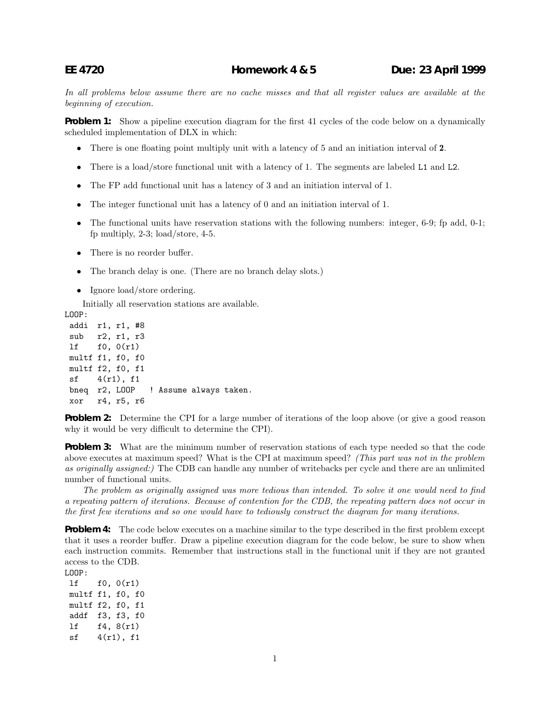In all problems below assume there are no cache misses and that all register values are available at the beginning of execution.

**Problem 1:** Show a pipeline execution diagram for the first 41 cycles of the code below on a dynamically scheduled implementation of DLX in which:

- There is one floating point multiply unit with a latency of 5 and an initiation interval of **2**.
- There is a load/store functional unit with a latency of 1. The segments are labeled L1 and L2.
- The FP add functional unit has a latency of 3 and an initiation interval of 1.
- The integer functional unit has a latency of 0 and an initiation interval of 1.
- The functional units have reservation stations with the following numbers: integer, 6-9; fp add, 0-1; fp multiply, 2-3; load/store, 4-5.
- There is no reorder buffer.
- The branch delay is one. (There are no branch delay slots.)
- Ignore load/store ordering.

Initially all reservation stations are available.

LOOP:

addi r1, r1, #8 sub r2, r1, r3 lf f0, 0(r1) multf f1, f0, f0 multf f2, f0, f1  $sf$  4(r1), f1 bneq r2, LOOP ! Assume always taken. xor r4, r5, r6

**Problem 2:** Determine the CPI for a large number of iterations of the loop above (or give a good reason why it would be very difficult to determine the CPI).

**Problem 3:** What are the minimum number of reservation stations of each type needed so that the code above executes at maximum speed? What is the CPI at maximum speed? (This part was not in the problem as originally assigned:) The CDB can handle any number of writebacks per cycle and there are an unlimited number of functional units.

The problem as originally assigned was more tedious than intended. To solve it one would need to find a repeating pattern of iterations. Because of contention for the CDB, the repeating pattern does not occur in the first few iterations and so one would have to tediously construct the diagram for many iterations.

**Problem 4:** The code below executes on a machine similar to the type described in the first problem except that it uses a reorder buffer. Draw a pipeline execution diagram for the code below, be sure to show when each instruction commits. Remember that instructions stall in the functional unit if they are not granted access to the CDB.

LOOP:

lf f0, 0(r1) multf f1, f0, f0 multf f2, f0, f1 addf f3, f3, f0 lf f4, 8(r1) sf 4(r1), f1